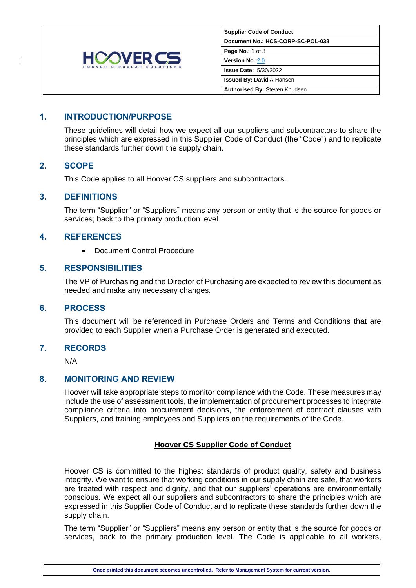

| <b>Supplier Code of Conduct</b>      |
|--------------------------------------|
| Document No.: HCS-CORP-SC-POL-038    |
| <b>Page No.: 1 of 3</b>              |
| Version No.: 2.0                     |
| <b>Issue Date: 5/30/2022</b>         |
| <b>Issued By: David A Hansen</b>     |
| <b>Authorised By: Steven Knudsen</b> |

# **1. INTRODUCTION/PURPOSE**

These guidelines will detail how we expect all our suppliers and subcontractors to share the principles which are expressed in this Supplier Code of Conduct (the "Code") and to replicate these standards further down the supply chain.

## **2. SCOPE**

This Code applies to all Hoover CS suppliers and subcontractors.

#### **3. DEFINITIONS**

The term "Supplier" or "Suppliers" means any person or entity that is the source for goods or services, back to the primary production level.

#### **4. REFERENCES**

• Document Control Procedure

#### **5. RESPONSIBILITIES**

The VP of Purchasing and the Director of Purchasing are expected to review this document as needed and make any necessary changes.

#### **6. PROCESS**

This document will be referenced in Purchase Orders and Terms and Conditions that are provided to each Supplier when a Purchase Order is generated and executed.

## **7. RECORDS**

N/A

## **8. MONITORING AND REVIEW**

Hoover will take appropriate steps to monitor compliance with the Code. These measures may include the use of assessment tools, the implementation of procurement processes to integrate compliance criteria into procurement decisions, the enforcement of contract clauses with Suppliers, and training employees and Suppliers on the requirements of the Code.

## **Hoover CS Supplier Code of Conduct**

Hoover CS is committed to the highest standards of product quality, safety and business integrity. We want to ensure that working conditions in our supply chain are safe, that workers are treated with respect and dignity, and that our suppliers' operations are environmentally conscious. We expect all our suppliers and subcontractors to share the principles which are expressed in this Supplier Code of Conduct and to replicate these standards further down the supply chain.

The term "Supplier" or "Suppliers" means any person or entity that is the source for goods or services, back to the primary production level. The Code is applicable to all workers,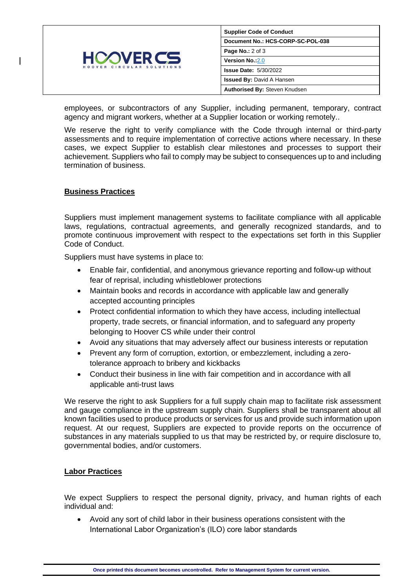

employees, or subcontractors of any Supplier, including permanent, temporary, contract agency and migrant workers, whether at a Supplier location or working remotely..

We reserve the right to verify compliance with the Code through internal or third-party assessments and to require implementation of corrective actions where necessary. In these cases, we expect Supplier to establish clear milestones and processes to support their achievement. Suppliers who fail to comply may be subject to consequences up to and including termination of business.

## **Business Practices**

Suppliers must implement management systems to facilitate compliance with all applicable laws, regulations, contractual agreements, and generally recognized standards, and to promote continuous improvement with respect to the expectations set forth in this Supplier Code of Conduct.

Suppliers must have systems in place to:

- Enable fair, confidential, and anonymous grievance reporting and follow-up without fear of reprisal, including whistleblower protections
- Maintain books and records in accordance with applicable law and generally accepted accounting principles
- Protect confidential information to which they have access, including intellectual property, trade secrets, or financial information, and to safeguard any property belonging to Hoover CS while under their control
- Avoid any situations that may adversely affect our business interests or reputation
- Prevent any form of corruption, extortion, or embezzlement, including a zerotolerance approach to bribery and kickbacks
- Conduct their business in line with fair competition and in accordance with all applicable anti-trust laws

We reserve the right to ask Suppliers for a full supply chain map to facilitate risk assessment and gauge compliance in the upstream supply chain. Suppliers shall be transparent about all known facilities used to produce products or services for us and provide such information upon request. At our request, Suppliers are expected to provide reports on the occurrence of substances in any materials supplied to us that may be restricted by, or require disclosure to, governmental bodies, and/or customers.

## **Labor Practices**

We expect Suppliers to respect the personal dignity, privacy, and human rights of each individual and:

• Avoid any sort of child labor in their business operations consistent with the International Labor Organization's (ILO) core labor standards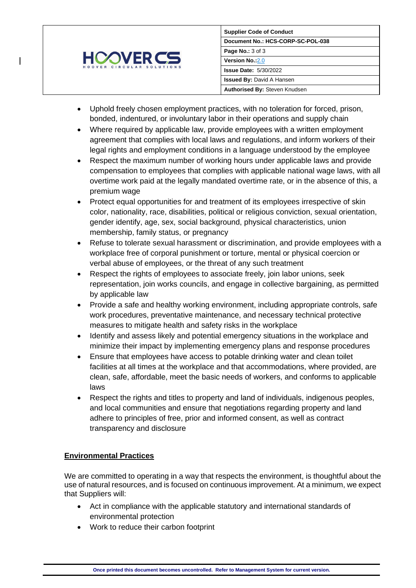

- Uphold freely chosen employment practices, with no toleration for forced, prison, bonded, indentured, or involuntary labor in their operations and supply chain
- Where required by applicable law, provide employees with a written employment agreement that complies with local laws and regulations, and inform workers of their legal rights and employment conditions in a language understood by the employee
- Respect the maximum number of working hours under applicable laws and provide compensation to employees that complies with applicable national wage laws, with all overtime work paid at the legally mandated overtime rate, or in the absence of this, a premium wage
- Protect equal opportunities for and treatment of its employees irrespective of skin color, nationality, race, disabilities, political or religious conviction, sexual orientation, gender identify, age, sex, social background, physical characteristics, union membership, family status, or pregnancy
- Refuse to tolerate sexual harassment or discrimination, and provide employees with a workplace free of corporal punishment or torture, mental or physical coercion or verbal abuse of employees, or the threat of any such treatment
- Respect the rights of employees to associate freely, join labor unions, seek representation, join works councils, and engage in collective bargaining, as permitted by applicable law
- Provide a safe and healthy working environment, including appropriate controls, safe work procedures, preventative maintenance, and necessary technical protective measures to mitigate health and safety risks in the workplace
- Identify and assess likely and potential emergency situations in the workplace and minimize their impact by implementing emergency plans and response procedures
- Ensure that employees have access to potable drinking water and clean toilet facilities at all times at the workplace and that accommodations, where provided, are clean, safe, affordable, meet the basic needs of workers, and conforms to applicable laws
- Respect the rights and titles to property and land of individuals, indigenous peoples, and local communities and ensure that negotiations regarding property and land adhere to principles of free, prior and informed consent, as well as contract transparency and disclosure

# **Environmental Practices**

We are committed to operating in a way that respects the environment, is thoughtful about the use of natural resources, and is focused on continuous improvement. At a minimum, we expect that Suppliers will:

- Act in compliance with the applicable statutory and international standards of environmental protection
- Work to reduce their carbon footprint